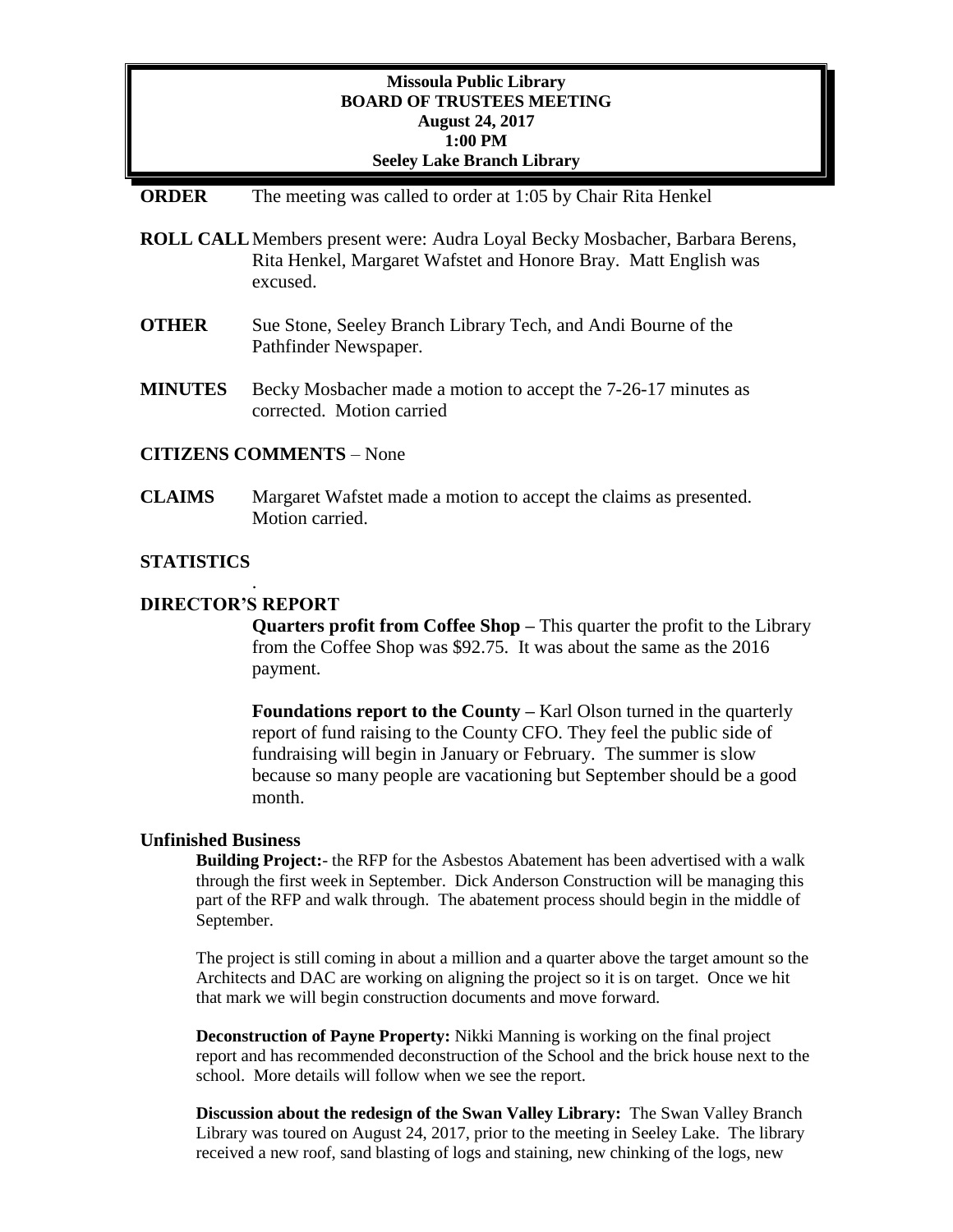# **Missoula Public Library BOARD OF TRUSTEES MEETING August 24, 2017 1:00 PM Seeley Lake Branch Library**

## **ORDER** The meeting was called to order at 1:05 by Chair Rita Henkel

- **ROLL CALL**Members present were: Audra Loyal Becky Mosbacher, Barbara Berens, Rita Henkel, Margaret Wafstet and Honore Bray. Matt English was excused.
- **OTHER** Sue Stone, Seeley Branch Library Tech, and Andi Bourne of the Pathfinder Newspaper.
- **MINUTES** Becky Mosbacher made a motion to accept the 7-26-17 minutes as corrected. Motion carried

# **CITIZENS COMMENTS** – None

**CLAIMS** Margaret Wafstet made a motion to accept the claims as presented. Motion carried.

## **STATISTICS**

## **DIRECTOR'S REPORT**

.

**Quarters profit from Coffee Shop –** This quarter the profit to the Library from the Coffee Shop was \$92.75. It was about the same as the 2016 payment.

**Foundations report to the County – Karl Olson turned in the quarterly** report of fund raising to the County CFO. They feel the public side of fundraising will begin in January or February. The summer is slow because so many people are vacationing but September should be a good month.

#### **Unfinished Business**

**Building Project:**- the RFP for the Asbestos Abatement has been advertised with a walk through the first week in September. Dick Anderson Construction will be managing this part of the RFP and walk through. The abatement process should begin in the middle of September.

The project is still coming in about a million and a quarter above the target amount so the Architects and DAC are working on aligning the project so it is on target. Once we hit that mark we will begin construction documents and move forward.

**Deconstruction of Payne Property:** Nikki Manning is working on the final project report and has recommended deconstruction of the School and the brick house next to the school. More details will follow when we see the report.

**Discussion about the redesign of the Swan Valley Library:** The Swan Valley Branch Library was toured on August 24, 2017, prior to the meeting in Seeley Lake. The library received a new roof, sand blasting of logs and staining, new chinking of the logs, new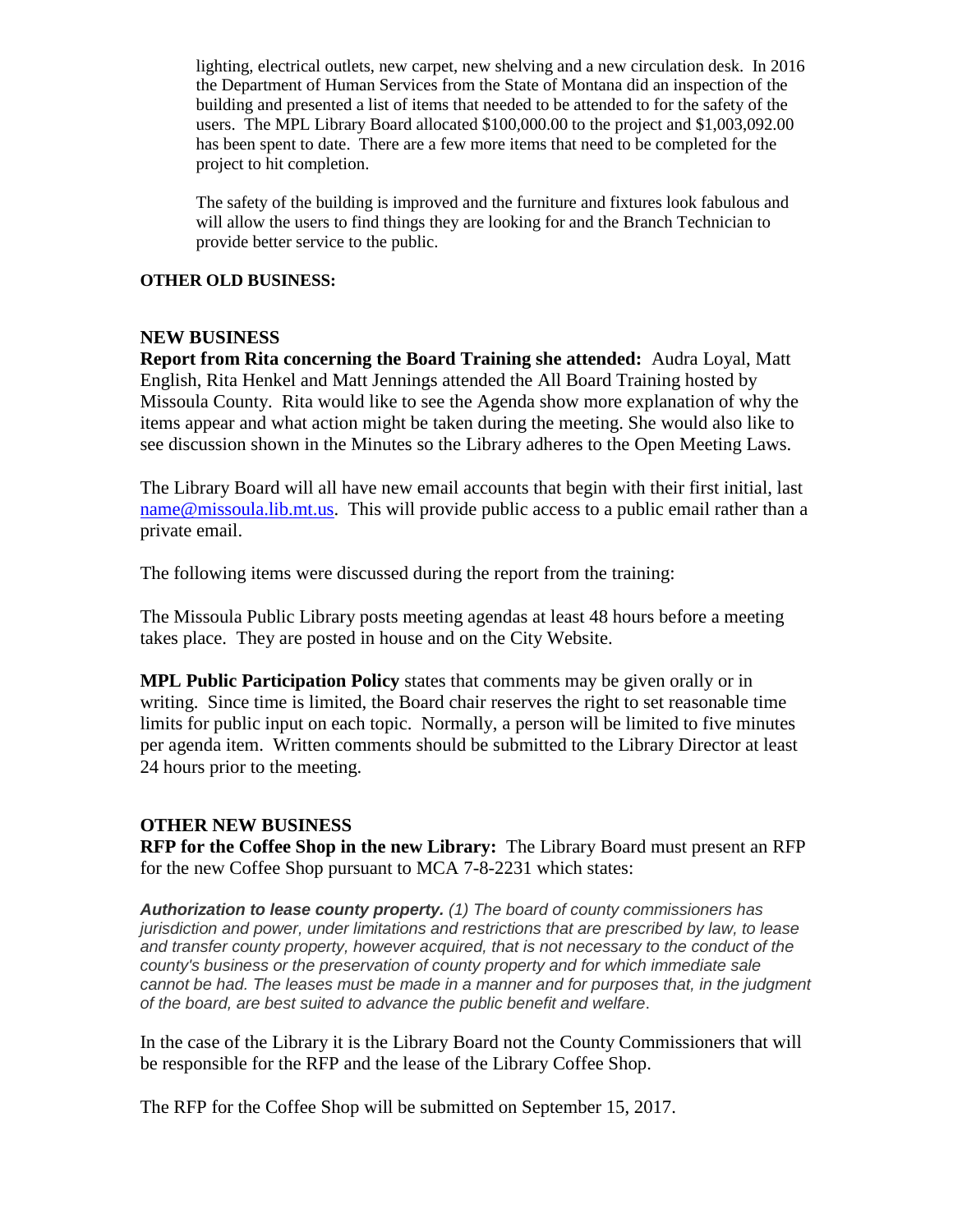lighting, electrical outlets, new carpet, new shelving and a new circulation desk. In 2016 the Department of Human Services from the State of Montana did an inspection of the building and presented a list of items that needed to be attended to for the safety of the users. The MPL Library Board allocated \$100,000.00 to the project and \$1,003,092.00 has been spent to date. There are a few more items that need to be completed for the project to hit completion.

The safety of the building is improved and the furniture and fixtures look fabulous and will allow the users to find things they are looking for and the Branch Technician to provide better service to the public.

#### **OTHER OLD BUSINESS:**

#### **NEW BUSINESS**

**Report from Rita concerning the Board Training she attended:** Audra Loyal, Matt English, Rita Henkel and Matt Jennings attended the All Board Training hosted by Missoula County. Rita would like to see the Agenda show more explanation of why the items appear and what action might be taken during the meeting. She would also like to see discussion shown in the Minutes so the Library adheres to the Open Meeting Laws.

The Library Board will all have new email accounts that begin with their first initial, last [name@missoula.lib.mt.us.](mailto:name@missoula.lib.mt.us) This will provide public access to a public email rather than a private email.

The following items were discussed during the report from the training:

The Missoula Public Library posts meeting agendas at least 48 hours before a meeting takes place. They are posted in house and on the City Website.

**MPL Public Participation Policy** states that comments may be given orally or in writing. Since time is limited, the Board chair reserves the right to set reasonable time limits for public input on each topic. Normally, a person will be limited to five minutes per agenda item. Written comments should be submitted to the Library Director at least 24 hours prior to the meeting.

# **OTHER NEW BUSINESS**

**RFP for the Coffee Shop in the new Library:** The Library Board must present an RFP for the new Coffee Shop pursuant to MCA 7-8-2231 which states:

*Authorization to lease county property. (1) The board of county commissioners has jurisdiction and power, under limitations and restrictions that are prescribed by law, to lease and transfer county property, however acquired, that is not necessary to the conduct of the county's business or the preservation of county property and for which immediate sale cannot be had. The leases must be made in a manner and for purposes that, in the judgment of the board, are best suited to advance the public benefit and welfare*.

In the case of the Library it is the Library Board not the County Commissioners that will be responsible for the RFP and the lease of the Library Coffee Shop.

The RFP for the Coffee Shop will be submitted on September 15, 2017.